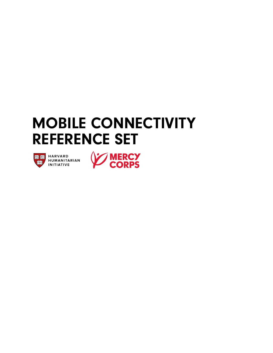# REFERENCE SET MOBILE CONNECTIVITY



**ICE BULLER HARVARD**<br>ICE HUMANITARIAN<br>INITIATIVE

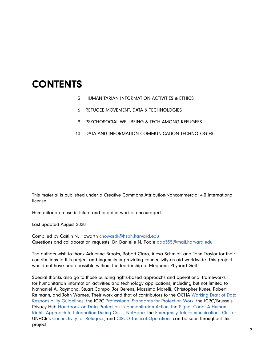## CONTENTS

- HUMANITARIAN INFORMATION ACTIVITIES & ETHICS 3
- REFUGEE MOVEMENT, DATA & TECHNOLOGIES 6
- PSYCHOSOCIAL WELLBEING & TECH AMONG REFUGEES 9
- 10 DATA AND INFORMATION COMMUNICATION TECHNOLOGIES

This material is published under a Creative Commons Attribution-Noncommercial 4.0 International license.

Humanitarian reuse in future and ongoing work is encouraged.

Last updated August 2020

Compiled by Caitlin N. Howarth [chowarth@hsph.harvard.edu](mailto:chowarth%40hsph.harvard.edu?subject=) Questions and collaboration requests: Dr. Danielle N. Poole dap355@mail.harvard.edu

The authors wish to thank Adrienne Brooks, Robert Claro, Alexa Schmidt, and John Traylor for their contributions to this project and ingenuity in providing connectivity as aid worldwide. This project would not have been possible without the leadership of Meghann Rhynard-Geil.

Special thanks also go to those building rights-based approachs and operational frameworks for humanitarian information activities and technology applications, including but not limited to Nathaniel A. Raymond, Stuart Campo, Jos Berens, Massimo Marelli, Christopher Kuner, Robert Reimann, and John Warnes. Their work and that of contributors to the OCHA [Working Draft of Data](https://centre.humdata.org/data-responsibility/)  [Responsibility Guidelines](https://centre.humdata.org/data-responsibility/), the ICRC [Professional Standards for Protection Work](https://www.icrc.org/en/publication/0999-professional-standards-protection-work-carried-out-humanitarian-and-human-rights), the ICRC/Brussels Privacy Hub [Handbook on Data Protection in Humanitarian Action](https://www.icrc.org/en/data-protection-humanitarian-action-handbook), the [Signal Code: A Human](https://signalcode.org)  [Rights Approach to Information During Crisis](https://signalcode.org), [NetHope,](https://nethope.org) the [Emergency Telecommunications Cluster](https://www.etcluster.org), UNHCR's [Connectivity for Refugees](http://www.unhcr.org/innovation/connectivity-for-refugees/), and [CISCO Tactical Operations](https://www.cisco.com/c/en/us/about/csr/impact/critical-human-needs/tactical-operations-tacops.html) can be seen throughout this project.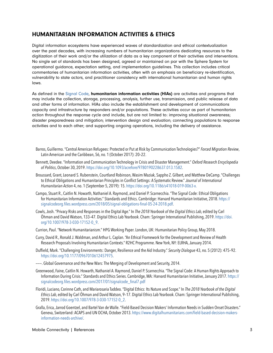#### HUMANITARIAN INFORMATION ACTIVITIES & ETHICS

Digital information ecosystems have experienced waves of standardization and ethical contextualization over the past decades, with increasing numbers of humanitarian organizations dedicating resources to the digitization of their work and/or the utilization of data as a key component of their activities and interventions. No single set of standards has been designed, agreed or maintained on par with the Sphere System for operational guidance, expectation setting, and implementation guidelines. This collection includes critical commentaries of humanitarian information activities, often with an emphasis on beneficiary re-identification, vulnerability to state actors, and practitioner consistency with international humanitarian and human rights laws.

As defined in the [Signal Code,](mailto:https://signalcode.org?subject=) humanitarian information activities (HIAs) are activities and programs that may include the collection, storage, processing, analysis, further use, transmission, and public release of data and other forms of information. HIAs also include the establishment and development of communications capacity and infrastructure by responders and/or populations. These activities occur as part of humanitarian action throughout the response cycle and include, but are not limited to: improving situational awareness; disaster preparedness and mitigation; intervention design and evaluation; connecting populations to response activities and to each other; and supporting ongoing operations, including the delivery of assistance.

- Barros, Guillermo. "Central American Refugees: Protected or Put at Risk by Communication Technologies?" *Forced Migration Review*, Latin American and the Caribbean, 56, no. 1 (October 2017): 20–22.
- Bennett, Deedee. "Information and Communication Technology in Crisis and Disaster Management." *Oxford Research Encyclopedia of Politics*, October 30, 2019. [https://doi.org/10.1093/acrefore/9780190228637.013.1582.](https://doi.org/10.1093/acrefore/9780190228637.013.1582)
- Broussard, Grant, Leonard S. Rubenstein, Courtland Robinson, Wasim Maziak, Sappho Z. Gilbert, and Matthew DeCamp. "Challenges to Ethical Obligations and Humanitarian Principles in Conflict Settings: A Systematic Review." *Journal of International Humanitarian Action* 4, no. 1 (September 5, 2019): 15.<https://doi.org/10.1186/s41018-019-0063-x.>
- Campo, Stuart R., Caitlin N. Howarth, Nathaniel A. Raymond, and Daniel P. Scarnecchia. "The Signal Code: Ethical Obligations for Humanitarian Information Activities." Standards and Ethics. Cambridge: Harvard Humanitarian Initiative, 2018. [https://](https://signalcodeorg.files.wordpress.com/2018/05/signal-obligations-final-05-24-2018.pdf) [signalcodeorg.files.wordpress.com/2018/05/signal-obligations-final-05-24-2018.pdf](https://signalcodeorg.files.wordpress.com/2018/05/signal-obligations-final-05-24-2018.pdf).
- Cowls, Josh. "Privacy Risks and Responses in the Digital Age." In *The 2018 Yearbook of the Digital Ethics Lab*, edited by Carl Öhman and David Watson, 133–47. Digital Ethics Lab Yearbook. Cham: Springer International Publishing, 2019. [https://doi.](https://doi.org/10.1007/978-3-030-17152-0_9) [org/10.1007/978-3-030-17152-0\\_9](https://doi.org/10.1007/978-3-030-17152-0_9).
- Currion, Paul. "Network Humanitarianism." HPG Working Paper. London, UK: Humanitarian Policy Group, May 2018.
- Curry, David R., Ronald J. Waldman, and Arthur L. Caplan. "An Ethical Framework for the Development and Review of Health Research Proposals Involving Humanitarian Contexts." R2HC Programme. New York, NY: ELRHA, January 2014.
- Duffield, Mark. "Challenging Environments: Danger, Resilience and the Aid Industry." *Security Dialogue* 43, no. 5 (2012): 475–92. <https://doi.org/10.1177/0967010612457975>.
- ———. Global Governance and the New Wars: The Merging of Development and Security, 2014.
- Greenwood, Faine, Caitlin N. Howarth, Nathaniel A. Raymond, Daniel P. Scarnecchia. "The Signal Code: A Human Rights Approach to Information During Crisis." Standards and Ethics Series. Cambridge, MA: Harvard Humanitarian Initiative, January 2017. [https://](https://signalcodeorg.files.wordpress.com/2017/01/signalcode_final7.pdf ) [signalcodeorg.files.wordpress.com/2017/01/signalcode\\_final7.pdf](https://signalcodeorg.files.wordpress.com/2017/01/signalcode_final7.pdf )
- Floridi, Luciano, Corinne Cath, and Mariarosaria Taddeo. "Digital Ethics: Its Nature and Scope." In *The 2018 Yearbook of the Digital Ethics Lab*, edited by Carl Öhman and David Watson, 9–17. Digital Ethics Lab Yearbook. Cham: Springer International Publishing, 2019. [https://doi.org/10.1007/978-3-030-17152-0\\_2](https://doi.org/10.1007/978-3-030-17152-0_2).
- Gralla, Erica, Jarrod Goentzel, and Bartel Van de Walle. "Field-Based Decision Makers' Information Needs in Sudden Onset Disasters." Geneva, Switzerland: ACAPS and UN OCHA, October 2013. [https://www.digitalhumanitarians.com/field-based-decision-makers](https://www.digitalhumanitarians.com/field-based-decision-makers-information-needs-archive/)[information-needs-archive/](https://www.digitalhumanitarians.com/field-based-decision-makers-information-needs-archive/).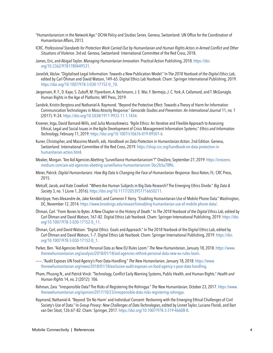- "Humanitarianism in the Network Age." OCHA Policy and Studies Series. Geneva, Switzerland: UN Office for the Coordination of Humanitarian Affairs, 2013.
- ICRC. *Professional Standards for Protection Work Carried Out by Humanitarian and Human Rights Actors in Armed Conflict and Other Situations of Violence*. 3rd ed. Geneva, Switzerland: International Committee of the Red Cross, 2018.
- James, Eric, and Abigail Taylor. *Managing Humanitarian Innovation*. Practical Action Publishing, 2018. [https://doi.](https://doi.org/10.3362/9781780449531) [org/10.3362/9781780449531](https://doi.org/10.3362/9781780449531).
- Janeček, Václav. "Digitalised Legal Information: Towards a New Publication Model." In T*he 2018 Yearbook of the Digital Ethics Lab*, edited by Carl Öhman and David Watson, 149–65. Digital Ethics Lab Yearbook. Cham: Springer International Publishing, 2019. [https://doi.org/10.1007/978-3-030-17152-0\\_10](https://doi.org/10.1007/978-3-030-17152-0_10).
- Jørgensen, R. F., D. Kaye, S. Zuboff, M. Flyverbom, A. Bechmann, J. E. Mai, F. Bermejo, J. C. York, A. Callamard, and T. McGonagle. Human Rights in the Age of Platforms. MIT Press, 2019.
- Sandvik, Kristin Bergtora and Nathaniel A. Raymond. "Beyond the Protective Effect: Towards a Theory of Harm for Information Communication Technologies in Mass Atrocity Response." *Genocide Studies and Prevention: An International Journal* 11, no. 1 (2017): 9–24. [https://doi.org/10.5038/1911-9933.11.1.1454.](https://doi.org/10.5038/1911-9933.11.1.1454)
- Kroener, Inga, David Barnard-Wills, and Julia Muraszkiewicz. "Agile Ethics: An Iterative and Flexible Approach to Assessing Ethical, Legal and Social Issues in the Agile Development of Crisis Management Information Systems." *Ethics and Information Technology*, February 11, 2019. <https://doi.org/10.1007/s10676-019-09501-6.>
- Kuner, Christopher, and Massimo Marelli, eds. *Handbook on Data Protection in Humanitarian Action*. 2nd Edition. Geneva, Switzerland: International Committee of the Red Cross, 2019. [https://shop.icrc.org/handbook-on-data-protection-in](https://shop.icrc.org/handbook-on-data-protection-in-humanitarian-action.htm)[humanitarian-action.html](https://shop.icrc.org/handbook-on-data-protection-in-humanitarian-action.htm).
- Meaker, Morgan. "Are Aid Agencies Abetting 'Surveillance Humanitarianism'?" OneZero, September 27, 2019. [https://onezero.](https://onezero.medium.com/are-aid-agencies-abetting-surveillance-humanitarianism-5bc2b5a78ff6) [medium.com/are-aid-agencies-abetting-surveillance-humanitarianism-5bc2b5a78ff6](https://onezero.medium.com/are-aid-agencies-abetting-surveillance-humanitarianism-5bc2b5a78ff6).
- Meier, Patrick. *Digital Humanitarians: How Big Data Is Changing the Face of Humanitarian Response.* Boca Raton, FL: CRC Press, 2015.
- Metcalf, Jacob, and Kate Crawford. "Where Are Human Subjects in Big Data Research? The Emerging Ethics Divide." *Big Data & Society* 3, no. 1 (June 1, 2016). <https://doi.org/10.1177/2053951716650211>.
- Montjoye, Yves-Alexandre de, Jake Kendall, and Cameron F. Kerry. "Enabling Humanitarian Use of Mobile Phone Data." Washington, DC, November 12, 2014. [https://www.brookings.edu/research/enabling-humanitarian-use-of-mobile-phone-data/.](https://www.brookings.edu/research/enabling-humanitarian-use-of-mobile-phone-data/)
- Öhman, Carl. "From Bones to Bytes: A New Chapter in the History of Death." In *The 2018 Yearbook of the Digital Ethics Lab*, edited by Carl Öhman and David Watson, 167–82. Digital Ethics Lab Yearbook. Cham: Springer International Publishing, 2019. [https://doi.](https://doi.org/10.1007/978-3-030-17152-0_11) [org/10.1007/978-3-030-17152-0\\_11.](https://doi.org/10.1007/978-3-030-17152-0_11)
- Öhman, Carl, and David Watson. "Digital Ethics: Goals and Approach." In The 2018 Yearbook of the Digital Ethics Lab, edited by Carl Öhman and David Watson, 1–7. Digital Ethics Lab Yearbook. Cham: Springer International Publishing, 2019. [https://doi.](https://doi.org/10.1007/978-3-030-17152-0_1) [org/10.1007/978-3-030-17152-0\\_1](https://doi.org/10.1007/978-3-030-17152-0_1).
- Parker, Ben. "Aid Agencies Rethink Personal Data as New EU Rules Loom." *The New Humanitarian*, January 18, 2018. [https://www.](https://www.thenewhumanitarian.org/analysis/2018/01/18/aid-agencies-rethink-personal-data-new-eu-rules-loom) [thenewhumanitarian.org/analysis/2018/01/18/aid-agencies-rethink-personal-data-new-eu-rules-loom.](https://www.thenewhumanitarian.org/analysis/2018/01/18/aid-agencies-rethink-personal-data-new-eu-rules-loom)
- ———. "Audit Exposes UN Food Agency's Poor Data-Handling." *The New Humanitarian*, January 18, 2018. [https://www.](https://www.thenewhumanitarian.org/news/2018/01/18/exclusive-audit-exposes-un-food-agency-s-poor-data-handling) [thenewhumanitarian.org/news/2018/01/18/exclusive-audit-exposes-un-food-agency-s-poor-data-handling](https://www.thenewhumanitarian.org/news/2018/01/18/exclusive-audit-exposes-un-food-agency-s-poor-data-handling).
- Pham, Phuong N., and Patrick Vinck. "Technology, Conflict Early Warning Systems, Public Health, and Human Rights." *Health and Human Rights* 14, no. 2 (2012): 106.
- Rahman, Zara. "Irresponsible Data? The Risks of Registering the Rohingya." *The New Humanitarian*, October 23, 2017. [https://www.](https://www.thenewhumanitarian.org/opinion/2017/10/23/irresponsible-data-risks-registering-rohingya) [thenewhumanitarian.org/opinion/2017/10/23/irresponsible-data-risks-registering-rohingya](https://www.thenewhumanitarian.org/opinion/2017/10/23/irresponsible-data-risks-registering-rohingya).
- Raymond, Nathaniel A. "Beyond 'Do No Harm' and Individual Consent: Reckoning with the Emerging Ethical Challenges of Civil Society's Use of Data." In *Group Privacy: New Challenges of Data Technologies*, edited by Linnet Taylor, Luciano Floridi, and Bart van Der Sloot, 126:67–82. Cham: Springer, 2017. <https://doi.org/10.1007/978-3-319-46608-8>.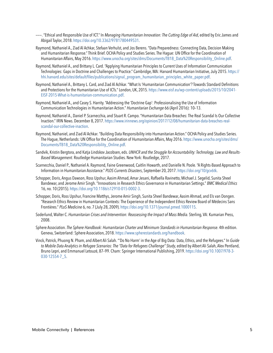- ———. "Ethical and Responsible Use of ICT." In *Managing Humanitarian Innovation: The Cutting Edge of Aid*, edited by Eric James and Abigail Taylor, 2018.<https://doi.org/10.3362/9781780449531>.
- Raymond, Nathaniel A., Ziad Al Achkar, Stefaan Verhulst, and Jos Berens. "Data Preparedness: Connecting Data, Decision Making and Humanitarian Response." Think Brief. OCHA Policy and Studies Series. The Hague: UN Office for the Coordination of Humanitarian Affairs, May 2016. [https://www.unocha.org/sites/dms/Documents/TB18\\_Data%20Responsibility\\_Online.pdf](https://www.unocha.org/sites/dms/Documents/TB18_Data%20Responsibility_Online.pdf).
- Raymond, Nathaniel A., and Brittany L. Card. "Applying Humanitarian Principles to Current Uses of Information Communication Technologies: Gaps in Doctrine and Challenges to Practice." Cambridge, MA: Harvard Humanitarian Initiative, July 2015. [https://](https://hhi.harvard.edu/sites/default/files/publications/signal_program_humanitarian_principles_white_paper.pdf) [hhi.harvard.edu/sites/default/files/publications/signal\\_program\\_humanitarian\\_principles\\_white\\_paper.pdf](https://hhi.harvard.edu/sites/default/files/publications/signal_program_humanitarian_principles_white_paper.pdf).
- Raymond, Nathaniel A., Brittany L. Card, and Ziad Al Achkar. "What Is 'Humanitarian Communication'? Towards Standard Definitions and Protections for the Humanitarian Use of ICTs." London, UK, 2015. [https://www.eisf.eu/wp-content/uploads/2015/10/2041-](https://www.eisf.eu/wp-content/uploads/2015/10/2041-EISF-2015-What-is-humanitarian-communication.pdf) [EISF-2015-What-is-humanitarian-communication.pdf](https://www.eisf.eu/wp-content/uploads/2015/10/2041-EISF-2015-What-is-humanitarian-communication.pdf).
- Raymond, Nathaniel A., and Casey S. Harrity. "Addressing the 'Doctrine Gap': Professionalising the Use of Information Communication Technologies in Humanitarian Action." *Humanitarian Exchange* 66 (April 2016): 10–13.
- Raymond, Nathaniel A., Daniel P. Scarnecchia, and Stuart R. Campo. "Humanitarian Data Breaches: The Real Scandal Is Our Collective Inaction." IRIN News. December 8, 2017. [https://www.irinnews.org/opinion/2017/12/08/humanitarian-data-breaches-real](https://www.irinnews.org/opinion/2017/12/08/humanitarian-data-breaches-real-scandal-our-collective-inaction)[scandal-our-collective-inaction](https://www.irinnews.org/opinion/2017/12/08/humanitarian-data-breaches-real-scandal-our-collective-inaction).
- Raymond, Nathaniel, and Ziad Al Achkar. "Building Data Responsibility into Humanitarian Action." OCHA Policy and Studies Series. The Hague, Netherlands: UN Office for the Coordination of Humanitarian Affairs, May 2016. [https://www.unocha.org/sites/dms/](https://www.unocha.org/sites/dms/Documents/TB18_Data%20Responsibility_Online.pdf) [Documents/TB18\\_Data%20Responsibility\\_Online.pdf.](https://www.unocha.org/sites/dms/Documents/TB18_Data%20Responsibility_Online.pdf)
- Sandvik, Kristin Bergtora, and Katja Lindskov Jacobsen, eds. *UNHCR and the Struggle for Accountability: Technology, Law and Results-Based Management.* Routledge Humanitarian Studies. New York: Routledge, 2017.
- Scarnecchia, Daniel P., Nathaniel A. Raymond, Faine Greenwood, Caitlin Howarth, and Danielle N. Poole. "A Rights-Based Approach to Information in Humanitarian Assistance." *PLOS Currents Disasters*, September 20, 2017. <https://doi.org/10/gcv6tk>.
- Schopper, Doris, Angus Dawson, Ross Upshur, Aasim Ahmad, Amar Jesani, Raffaella Ravinetto, Michael J. Segelid, Sunita Sheel Bandewar, and Jerome Amir Singh. "Innovations in Research Ethics Governance in Humanitarian Settings." *BMC Medical Ethics* 16, no. 10 (2015). [https://doi.org/10.1186/s12910-015-0002-3.](https://doi.org/10.1186/s12910-015-0002-3)
- Schopper, Doris, Ross Upshur, Francine Matthys, Jerome Amir Singh, Sunita Sheel Bandewar, Aasim Ahmad, and Els van Dongen. "Research Ethics Review in Humanitarian Contexts: The Experience of the Independent Ethics Review Board of Médecins Sans Frontières." *PLoS Medicine* 6, no. 7 (July 28, 2009). <https://doi.org/10.1371/journal.pmed.1000115>.
- Soderlund, Walter C. *Humanitarian Crises and Intervention: Reassessing the Impact of Mass Media.* Sterling, VA: Kumarian Press, 2008.
- Sphere Association. *The Sphere Handbook: Humanitarian Charter and Minimum Standards in Humanitarian Response*. 4th edition. Geneva, Switzerland: Sphere Association, 2018. <https://www.spherestandards.org/handbook>.
- Vinck, Patrick, Phuong N. Pham, and Albert Ali Salah. "'Do No Harm' in the Age of Big Data: Data, Ethics, and the Refugees." In *Guide to Mobile Data Analytics in Refugee Scenarios: The "Data for Refugees Challenge" Study*, edited by Albert Ali Salah, Alex Pentland, Bruno Lepri, and Emmanuel Letouzé, 87–99. Cham: Springer International Publishing, 2019. [https://doi.org/10.1007/978-3-](https://doi.org/10.1007/978-3-030-12554-7_5) [030-12554-7\\_5.](https://doi.org/10.1007/978-3-030-12554-7_5)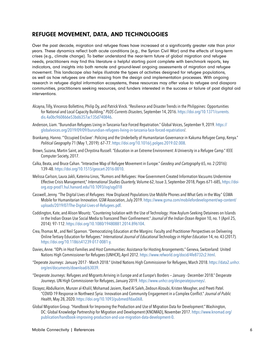#### REFUGEE MOVEMENT, DATA, AND TECHNOLOGIES

Over the past decade, migration and refugee flows have increased at a significantly greater rate than prior years. These dynamics reflect both acute conditions (e.g., the Syrian Civil War) and the effects of long-term crises (e.g., climate change). To better understand the near-term future of global migration and refugee needs, practitioners may find this literature a helpful starting point complete with benchmark reports, key indicators, and insights into both remote and ground-level ongoing assessments of migration and refugee movement. This landscape also helps illustrate the types of activities designed for refugee populations, as well as how refugees are often missing from the design and implementation processes. With ongoing research in refugee digital information ecosystems, these resources may offer value to refugee and diaspora communities, practitioners seeking resources, and funders interested in the success or failure of past digital aid interventions.

- Alcayna, Tilly, Vincenzo Bollettino, Philip Dy, and Patrick Vinck. "Resilience and Disaster Trends in the Philippines: Opportunities for National and Local Capacity Building." *PLOS Currents Disasters*, September 14, 2016. [https://doi.org/10.1371/currents.](https://doi.org/10.1371/currents.dis.4a0bc960866e53bd6357ac135d740846) [dis.4a0bc960866e53bd6357ac135d740846](https://doi.org/10.1371/currents.dis.4a0bc960866e53bd6357ac135d740846).
- Anderson, Liam. "Burundian Refugees Living in Tanzania Face Forced Repatriation." Global Voices, September 9, 2019. [https://](https://globalvoices.org/2019/09/09/burundian-refugees-living-in-tanzania-face-forced-repatriation) [globalvoices.org/2019/09/09/burundian-refugees-living-in-tanzania-face-forced-repatriation](https://globalvoices.org/2019/09/09/burundian-refugees-living-in-tanzania-face-forced-repatriation)/.
- Brankamp, Hanno. "'Occupied Enclave': Policing and the Underbelly of Humanitarian Governance in Kakuma Refugee Camp, Kenya." *Political Geography* 71 (May 1, 2019): 67–77. <https://doi.org/10.1016/j.polgeo.2019.02.008>.
- Brown, Suzana, Martin Saint, and Chrystina Russell. "Education in an Extreme Environment: A University in a Refugee Camp." IEEE Computer Society, 2017.
- Calka, Beata, and Bruce Cahan. "Interactive Map of Refugee Movement in Europe." *Geodesy and Cartography* 65, no. 2 (2016): 139–48. [https://doi.org/10.1515/geocart-2016-0010.](https://doi.org/10.1515/geocart-2016-0010)
- Melissa Carlson, Laura Jakli, Katerina Linos, "Rumors and Refugees: How Government-Created Information Vacuums Undermine Effective Crisis Management," *International Studies Quarterly,* Volume 62, Issue 3, September 2018, Pages 671–685, [https://doi](https://doi-org.ezp-prod1.hul.harvard.edu/10.1093/isq/sqy018 )[org.ezp-prod1.hul.harvard.edu/10.1093/isq/sqy018](https://doi-org.ezp-prod1.hul.harvard.edu/10.1093/isq/sqy018 )
- Casswell, Jenny. "The Digital Lives of Refugees: How Displaced Populations Use Moblle Phones and What Gets in the Way." GSMA Mobile for Humanitarian Innovation. GSM Association, July 2019. [https://www.gsma.com/mobilefordevelopment/wp-content/](https://www.gsma.com/mobilefordevelopment/wp-content/uploads/2019/07/The-Digital-Lives-of-Refugees.pdf) [uploads/2019/07/The-Digital-Lives-of-Refugees.pdf](https://www.gsma.com/mobilefordevelopment/wp-content/uploads/2019/07/The-Digital-Lives-of-Refugees.pdf).
- Coddington, Kate, and Alison Mountz. "Countering Isolation with the Use of Technology: How Asylum-Seeking Detainees on Islands in the Indian Ocean Use Social Media to Transcend Their Confinement." *Journal of the Indian Ocean Region* 10, no. 1 (April 25, 2014): 97–112. <https://doi.org/10.1080/19480881.2014.896104>.
- Crea, Thomas M., and Neil Sparnon. "Democratizing Education at the Margins: Faculty and Practitioner Perspectives on Delivering Online Tertiary Education for Refugees." *International Journal of Educational Technology in Higher Education* 14, no. 43 (2017). [https://doi.org/10.1186/s41239-017-0081-y.](https://doi.org/10.1186/s41239-017-0081-y)
- Davies, Anne. "IDPs in Host Families and Host Communities: Assistance for Hosting Arrangements." Geneva, Switzerland: United Nations High Commissioner for Refugees (UNHCR), April 2012. <https://www.refworld.org/docid/4fe8732c2.html>.
- "Deperate Journeys: January 2017 March 2018." United Nations High Commissioner for Refugees, March 2018. [https://data2.unhcr.](https://data2.unhcr.org/en/documents/download/63039) [org/en/documents/download/63039](https://data2.unhcr.org/en/documents/download/63039).
- "Desperate Journeys: Refugees and Migrants Arriving in Europe and at Europe's Borders January December 2018." Desperate Journeys. UN High Commissioner for Refugees, January 2019. <https://www.unhcr.org/desperatejourneys/>.
- Ekzayez, Abdulkarim, Munzer al-Khalil, Mohamad Jasiem, Raed Al Saleh, Zedoun Alzoubi, Kristen Meagher, and Preeti Patel. "COVID-19 Response in Northwest Syria: Innovation and Community Engagement in a Complex Conflict." *Journal of Public Health*, May 28, 2020. [https://doi.org/10.1093/pubmed/fdaa068.](https://doi.org/10.1093/pubmed/fdaa068)
- Global Migration Group. "Handbook for Improving the Production and Use of Migration Data for Development." Washington, DC: Global Knowledge Partnership for Migration and Development (KNOMAD), November 2017. [https://www.knomad.org/](https://www.knomad.org/publication/handbook-improving-production-and-use-migration-data-development-0) [publication/handbook-improving-production-and-use-migration-data-development-0](https://www.knomad.org/publication/handbook-improving-production-and-use-migration-data-development-0).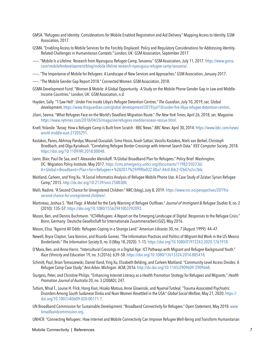- GMSA. "Refugees and Identity: Considerations for Mobile-Enabled Registration and Aid Delivery." Mapping Access to Identity. GSM Association, 2017.
- GSMA. "Enabling Access to Mobile Services for the Forcibly Displaced: Policy and Regulatory Considerations for Addressing Identity-Related Challenges in Humanitarian Contexts." London, UK: GSM Association, September 2017.
- ———. "Mobile Is a Lifeline: Research from Nyarugusu Refugee Camp, Tanzania." GSM Association, July 11, 2017. [https://www.gsma.](https://www.gsma.com/mobilefordevelopment/blog/mobile-lifeline-research-nyarugusu-refugee-camp-tanzania/) [com/mobilefordevelopment/blog/mobile-lifeline-research-nyarugusu-refugee-camp-tanzania/](https://www.gsma.com/mobilefordevelopment/blog/mobile-lifeline-research-nyarugusu-refugee-camp-tanzania/).
- ———. "The Importance of Mobile for Refugees: A Landscape of New Services and Approaches." GSM Association, January 2017.
- ———. "The Mobile Gender Gap Report 2018." Connected Women. GSM Association, 2018.
- GSMA Development Fund. "Women & Mobile: A Global Opportunity A Study on the Mobile Phone Gender Gap in Low and Middle-Income Countries." London, UK: GSM Association, n.d.
- Hayden, Sally. "'I Saw Hell': Under Fire inside Libya's Refugee Detention Centres." *The Guardian*, July 10, 2019, sec. Global development.<https://www.theguardian.com/global-development/2019/jul/10/under-fire-libya-refugee-detention-centres>.
- Jilani, Seema. "What Refugees Face on the World's Deadliest Migration Route." *The New York Times*, April 26, 2018, sec. Magazine. <https://www.nytimes.com/2018/04/26/magazine/refugees-mediterranean-rescue.html>.
- Knell, Yolande. "Azraq: How a Refugee Camp Is Built from Scratch BBC News." *BBC News*. April 30, 2014. [https://www.bbc.com/news/](https://www.bbc.com/news/world-middle-east-27205291) [world-middle-east-27205291](https://www.bbc.com/news/world-middle-east-27205291).
- Kostakos, Panos, Abhinay Pandya, Mourad Oussalah, Simo Hosio, Arash Sattari, Vassilis Kostakos, Niels van Berkel, Christoph Briedbach, and Olga Kyriakouli. "Correlating Refugee Border Crossings with Internet Search Data." *IEEE Computer Society*, 2018. [https://doi.org/10.1109/IRI.2018.00048.](https://doi.org/10.1109/IRI.2018.00048)
- Levin, Blair, Paul De Saa, and T. Alexander Aleinikoff. "A Global Broadband Plan for Refugees." Policy Brief. Washington, DC: Migration Policy Institute, May 2017. [https://cms.emergency.unhcr.org/documents/11982/202236/](https://cms.emergency.unhcr.org/documents/11982/202236/A+Global+Broadband+Plan+for+Refugees+%282017%29/f9f0e032-00a7-44c0-8dc2-f2b47e2cc3bb) [A+Global+Broadband+Plan+for+Refugees+%282017%29/f9f0e032-00a7-44c0-8dc2-f2b47e2cc3bb.](https://cms.emergency.unhcr.org/documents/11982/202236/A+Global+Broadband+Plan+for+Refugees+%282017%29/f9f0e032-00a7-44c0-8dc2-f2b47e2cc3bb)
- Maitland, Carleen, and Ying Xu. "A Social Informatics Analysis of Refugee Mobile Phone Use: A Case Study of Za'atari Syrian Refugee Camp," 2015. [http://dx.doi.org/10.2139/ssrn.2588300.](http://dx.doi.org/10.2139/ssrn.2588300)
- Malli, Nadine. "A Second Chance for Unregistered Children." NRC (blog), July 8, 2019. [https://www.nrc.no/perspectives/2019/a](https://www.nrc.no/perspectives/2019/a-second-chance-for-unregistered-children/)[second-chance-for-unregistered-children/.](https://www.nrc.no/perspectives/2019/a-second-chance-for-unregistered-children/)
- Martineau, Joshua S. "Red Flags: A Model for the Early Warning of Refugee Outflows." *Journal of Immigrant & Refugee Studies* 8, no. 2 (2010): 135–57. [https://doi.org/10.1080/15562941003792093.](https://doi.org/10.1080/15562941003792093)
- Mason, Ben, and Dennis Buchmann. "ICT4Refugees: A Report on the Emerging Landscape of Digital. Responses to the Refugee Crisis." Bonn, Germany: Deutsche Gesellschaft für Internationale Zusammenarbeit (GIZ), May 2016.
- Mason, Elisa. "Against All Odds: Refugees Coping in a Strange Land." *American Libraries* 30, no. 7 (August 1999): 44–47.
- Newell, Bryce Clayton, Sara Vannini, and Ricardo Gomez. "The Information Practices and Politics of Migrant-Aid Work in the US-Mexico Borderlands." *The Information Society* 0, no. 0 (May 18, 2020): 1–15. [https://doi.org/10.1080/01972243.2020.1761918.](https://doi.org/10.1080/01972243.2020.1761918)
- O'Mara, Ben, and Anne Harris. "Intercultural Crossings in a Digital Age: ICT Pathways with Migrant and Refugee-Background Youth." *Race Ethnicity and Education* 19, no. 3 (2016): 639–58. [https://doi.org/10.1080/13613324.2014.885418.](https://doi.org/10.1080/13613324.2014.885418)
- Schmitt, Paul, Brian Tomaszewski, Daniel Iland, Ying Xu, Elizabeth Belding, and Carleen Maitland. "Community-Level Access Divides: A Refugee Camp Case Study." Ann Arbor, Michigan: ACM, 2016. [http://dx:doi:org/10:1145/2909609:2909668]( http://dx:doi:org/10:1145/2909609:2909668).
- Sturgess, Peter, and Christine Philips. "Enhancing Internet Literacy as a Health Promotion Strategy for Refugees and Migrants." *Health Promotion Journal of Australia* 20, no. 3 (200AD): 247.
- Tutlam, Nhial T., Louise H. Flick, Hong Xian, Hisako Matsuo, Anne Glowinski, and Nyamal Tutdeal. "Trauma-Associated Psychiatric Disorders Among South Sudanese Dinka and Nuer Women Resettled in the USA." *Global Social Welfare*, May 21, 2020. [https://](https://doi.org/10.1007/s40609-020-00171-7) [doi.org/10.1007/s40609-020-00171-7.](https://doi.org/10.1007/s40609-020-00171-7)
- UN Broadband Commission for Sustainable Development. "Broadband Connectivity for Refugees." Open Statement, May 2018. [www.](http://www.broadbandcommission.org) [broadbandcommission.org.](http://www.broadbandcommission.org)

UNHCR. "Connecting Refugees: How Internet and Mobile Connectivity Can Improve Refugee Well-Being and Transform Humanitarian

Mobile Connectivity | References 7 7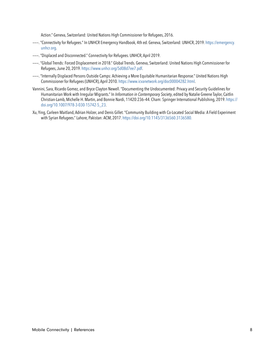Action." Geneva, Switzerland: United Nations High Commissioner for Refugees, 2016.

- ———. "Connectivity for Refugees." In UNHCR Emergency Handbook, 4th ed. Geneva, Switzerland: UNHCR, 2019. [https://emergency.](https://emergency.unhcr.org) [unhcr.org.](https://emergency.unhcr.org)
- ———. "Displaced and Disconnected." Connectivity for Refugees. UNHCR, April 2019.
- ———. "Global Trends: Forced Displacement in 2018." Global Trends. Geneva, Switzerland: United Nations High Commissioner for Refugees, June 20, 2019. [https://www.unhcr.org/5d08d7ee7.pdf.](https://www.unhcr.org/5d08d7ee7.pdf)
- ———. "Internally Displaced Persons Outside Camps: Achieving a More Equitable Humanitarian Response." United Nations High Commissioner for Refugees (UNHCR), April 2010. <https://www.icvanetwork.org/doc00004282.html>.
- Vannini, Sara, Ricardo Gomez, and Bryce Clayton Newell. "Documenting the Undocumented: Privacy and Security Guidelines for Humanitarian Work with Irregular Migrants." In *Information in Contemporary Society*, edited by Natalie Greene Taylor, Caitlin Christian-Lamb, Michelle H. Martin, and Bonnie Nardi, 11420:236–44. Cham: Springer International Publishing, 2019. [https://](https://doi.org/10.1007/978-3-030-15742-5_23) [doi.org/10.1007/978-3-030-15742-5\\_23](https://doi.org/10.1007/978-3-030-15742-5_23).
- Xu, Ying, Carleen Maitland, Adrian Holzer, and Denis Gillet. "Community Building with Co-Located Social Media: A Field Experiment with Syrian Refugees." Lahore, Pakistan: ACM, 2017. [https://doi.org/10.1145/3136560.3136580.](https://doi.org/10.1145/3136560.3136580. )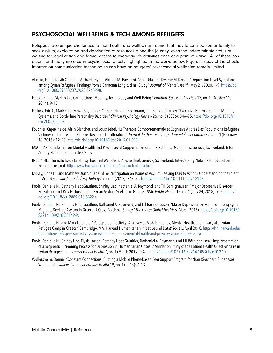#### PSYCHOSOCIAL WELLBEING & TECH AMONG REFUGEES

Refugees face unique challenges to their health and wellbeing: trauma that may force a person or family to seek asylum; exploitation and deprivation of resources along the journey; even the indeterminate status of waiting for legal action and formal access to everyday life activities once at a point of arrival. All of these conditions and many more carry psychosocial effects highlighted in the works below. Rigorous study of the effects information communication technologies can have on refugees' psychosocial wellbeing remain limited.

- Ahmad, Farah, Nasih Othman, Michaela Hynie, Ahmed M. Bayoumi, Anna Oda, and Kwame McKenzie. "Depression-Level Symptoms among Syrian Refugees: Findings from a Canadian Longitudinal Study." *Journal of Mental Health,* May 21, 2020, 1–9. [https://doi.](https://doi.org/10.1080/09638237.2020.1765998. ) [org/10.1080/09638237.2020.1765998.](https://doi.org/10.1080/09638237.2020.1765998. )
- Felton, Emma. "A/Effective Connections: Mobility, Technology and Well-Being." *Emotion, Space and Society* 13, no. 1 (October 11, 2014): 9–15.
- Fertuck, Eric A., Mark F. Lenzenweger, John F. Clarkin, Simone Hoermann, and Barbara Stanley. "Executive Neurocognition, Memory Systems, and Borderline Personality Disorder." *Clinical Psychology Review* 26, no. 3 (2006): 346–75. [https://doi.org/10.1016/j.](https://doi.org/10.1016/j.cpr.2005.05.008) [cpr.2005.05.008](https://doi.org/10.1016/j.cpr.2005.05.008).
- Fouchier, Capucine de, Alain Blanchet, and Louis Jehel. "La Thérapie Comportementale et Cognitive Auprès Des Populations Réfugiées Victimes de Torture et de Guerre: Revue de La Littérature." *Journal de Thérapie Comportementale et Cognitive* 25, no. 1 (February 18, 2015): 12–20. [http://dx.doi.org/10.1016/j.jtcc.2015.01.003.](http://dx.doi.org/10.1016/j.jtcc.2015.01.003. )
- IASC. "IASC Guidelines on Mental Health and Psychosocial Support in Emergency Settings." Guidelines. Geneva, Switzerland: Inter-Agency Standing Committee, 2007.
- INEE. "INEE Thematic Issue Brief: Psychosocial Well-Being." Issue Brief. Geneva, Switzerland: Inter-Agency Network for Education in Emergencies, n.d. <http://www.humanitarianinfo.org/iasc/content/products>.
- McKay, Fiona H., and Matthew Dunn. "Can Online Participation on Issues of Asylum-Seeking Lead to Action? Understanding the Intent to Act." *Australian Journal of Psychology* 69, no. 1 (2017): 247–55. <https://doi.org/doi:10.1111/ajpy.12147>.
- Poole, Danielle N., Bethany Hedt-Gauthier, Shirley Liao, Nathaniel A. Raymond, and Till Bärnighausen. "Major Depressive Disorder Prevalence and Risk Factors among Syrian Asylum Seekers in Greece." *BMC Public Health* 18, no. 1 (July 24, 2018): 908. [https://](https://doi.org/10.1186/s12889-018-5822-x) [doi.org/10.1186/s12889-018-5822-x.](https://doi.org/10.1186/s12889-018-5822-x)
- Poole, Danielle N., Bethany Hedt-Gauthier, Nathaniel A. Raymond, and Till Bärnighausen. "Major Depression Prevalence among Syrian Migrants Seeking Asylum in Greece: A Cross-Sectional Survey." *The Lancet Global Health* 6 (March 2018). [https://doi.org/10.1016/](https://doi.org/10.1016/S2214-109X(18)30149-9) [S2214-109X\(18\)30149-9](https://doi.org/10.1016/S2214-109X(18)30149-9).
- Poole, Danielle N., and Mark Latonero. "Refugee Connectivity: A Survey of Mobile Phones, Mental Health, and Privacy at a Syrian Refugee Camp in Greece." Cambridge, MA: Harvard Humanitarian Initiative and Data&Society, April 2018. [https://hhi.harvard.edu/](https://hhi.harvard.edu/publications/refugee-connectivity-survey-mobile-phones-mental-health-and-privacy-syrian-refugee-camp) [publications/refugee-connectivity-survey-mobile-phones-mental-health-and-privacy-syrian-refugee-camp](https://hhi.harvard.edu/publications/refugee-connectivity-survey-mobile-phones-mental-health-and-privacy-syrian-refugee-camp).
- Poole, Danielle N., Shirley Liao, Elysia Larson, Bethany Hedt-Gauthier, Nathaniel A. Raymond, and Till Börnighausen. "Implementation of a Sequential Screening Process for Depression in Humanitarian Crises: A Validation Study of the Patient Health Questionnaire in Syrian Refugees." *The Lancet Global Health* 7, no. 1 (March 2019): S42. [https://doi.org/10.1016/S2214-109X\(19\)30127-5](https://doi.org/10.1016/S2214-109X(19)30127-5).
- Wollersheim, Dennis. "Constant Connections: Piloting a Mobile Phone-Based Peer Support Program for Nuer (Southern Sudanese) Women." *Australian Journal of Primary Health* 19, no. 1 (2013): 7–13.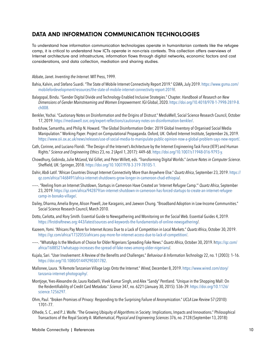### DATA AND INFORMATION COMMUNICATION TECHNOLOGIES

To understand how information communication technologies operate in humanitarian contexts like the refugee camp, it is critical to understand how ICTs operate in non-crisis contexts. This collection offers overviews of Internet architecture and infrastructure, information flows through digital networks, economic factors and cost considerations, and data collection, mediation and sharing studies.

#### Abbate, Janet. *Inventing the Internet*. MIT Press, 1999.

- Bahia, Kalvin, and Stefano Suardi. "The State of Mobile Internet Connectivity Report 2019." GSMA, July 2019. [https://www.gsma.com/](https://www.gsma.com/mobilefordevelopment/resources/the-state-of-mobile-internet-connectivity-report-2019) [mobilefordevelopment/resources/the-state-of-mobile-internet-connectivity-report-2019](https://www.gsma.com/mobilefordevelopment/resources/the-state-of-mobile-internet-connectivity-report-2019)/.
- Balagopal, Bindu. "Gender Digital Divide and Technology-Enabled Inclusive Strategies." Chapter. *Handbook of Research on New Dimensions of Gender Mainstreaming and Women Empowerment*. IGI Global, 2020. [https://doi.org/10.4018/978-1-7998-2819-8.](https://doi.org/10.4018/978-1-7998-2819-8.ch008. ) [ch008.](https://doi.org/10.4018/978-1-7998-2819-8.ch008. )
- Benkler, Yochai. "Cautionary Notes on Disinformation and the Origins of Distrust." MediaWell, Social Science Research Council, October 17, 2019. <https://mediawell.ssrc.org/expert-reflections/cautionary-notes-on-disinformation-benkler/>.
- Bradshaw, Samantha, and Philip N. Howard. "The Global Disinformation Order: 2019 Global Inventory of Organised Social Media Manipulation." Working Paper. Project on Computational Propaganda. Oxford, UK: Oxford Internet Institute, September 26, 2019. [https://www.oii.ox.ac.uk/news/releases/use-of-social-media-to-manipulate-public-opinion-now-a-global-problem-says-new-report/.](https://www.oii.ox.ac.uk/news/releases/use-of-social-media-to-manipulate-public-opinion-now-a-global-problem-says-new-report/)
- Cath, Corinne, and Luciano Floridi. "The Design of the Internet's Architecture by the Internet Engineering Task Force (IETF) and Human Rights." *Science and Engineering Ethics* 23, no. 2 (April 1, 2017): 449–68.<https://doi.org/10.1007/s11948-016-9793-y.>
- Chowdhury, Gobinda, Julie McLeod, Val Gillet, and Peter Willett, eds. "Transforming Digital Worlds." *Lecture Notes in Computer Science*. Sheffield, UK: Springer, 2018. <https://doi.org/10.1007/978-3-319-78105-1.>
- Dahir, Abdi Latif. "African Countries Disrupt Internet Connectivity More than Anywhere Else." *Quartz Africa*, September 23, 2019. [https://](https://qz.com/africa/1468491/africa-internet-shutdowns-grow-longer-in-cameroon-chad-ethiopia) [qz.com/africa/1468491/africa-internet-shutdowns-grow-longer-in-cameroon-chad-ethiopia](https://qz.com/africa/1468491/africa-internet-shutdowns-grow-longer-in-cameroon-chad-ethiopia)/.
- ———. "Reeling from an Internet Shutdown, Startups in Cameroon Have Created an 'Internet Refugee Camp.'" *Quartz Africa*, September 23, 2019. [https://qz.com/africa/942879/an-internet-shutdown-in-cameroon-has-forced-startups-to-create-an-internet-refugee](https://qz.com/africa/942879/an-internet-shutdown-in-cameroon-has-forced-startups-to-create-an-internet-refugee-camp-in-bonako-village/)[camp-in-bonako-village/](https://qz.com/africa/942879/an-internet-shutdown-in-cameroon-has-forced-startups-to-create-an-internet-refugee-camp-in-bonako-village/).
- Dailey, Dharma, Amelia Bryne, Alison Powell, Joe Karaganis, and Jaewon Chung. "Broadband Adoption in Low-Income Communities." Social Science Research Council, March 2010.
- Dotto, Carlotta, and Rory Smith. Essential Guide to Newsgathering and Monitoring on the Social Web. Essential Guides 4, 2019. <https://firstdraftnews.org:443/latest/sources-and-keywords-the-fundamentals-of-online-newsgathering>/.
- Kazeem, Yomi. "Africans Pay More for Internet Access Due to a Lack of Competition in Local Markets." *Quartz Africa*, October 30, 2019. <https://qz.com/africa/1732055/africans-pay-more-for-internet-access-due-to-lack-of-competition/>.
- ———. "WhatsApp Is the Medium of Choice for Older Nigerians Spreading Fake News." *Quartz Africa*, October 30, 2019. h[ttps://qz.com/](ttps://qz.com/africa/1688521/whatsapp-increases-the-spread-of-fake-news-among-older-nigerians) [africa/1688521/whatsapp-increases-the-spread-of-fake-news-among-older-nigerians](ttps://qz.com/africa/1688521/whatsapp-increases-the-spread-of-fake-news-among-older-nigerians)/.
- Kujala, Sari. "User Involvement: A Review of the Benefits and Challenges." *Behaviour & Information Technology* 22, no. 1 (2003): 1–16. [https://doi.org/10.1080/01449290301782.](https://doi.org/10.1080/01449290301782)
- Mallonee, Laura. "A Remote Tanzanian Village Logs Onto the Internet." *Wired*, December 8, 2019. [https://www.wired.com/story/](https://www.wired.com/story/tanzania-internet-photography/. ) [tanzania-internet-photography/.](https://www.wired.com/story/tanzania-internet-photography/. )
- Montjoye, Yves-Alexandre de, Laura Radaelli, Vivek Kumar Singh, and Alex "Sandy" Pentland. "Unique in the Shopping Mall: On the Reidentifiability of Credit Card Metadata." *Science* 347, no. 6221 (January 30, 2015): 536–39. [https://doi.org/10.1126/](https://doi.org/10.1126/science.1256297. ) [science.1256297.](https://doi.org/10.1126/science.1256297. )
- Ohm, Paul. "Broken Promises of Privacy: Responding to the Surprising Failure of Anonymization." *UCLA Law Review* 57 (2010): 1701–77.
- Olhede, S. C., and P. J. Wolfe. "The Growing Ubiquity of Algorithms in Society: Implications, Impacts and Innovations." Philosophical Transactions of the Royal Society A: *Mathematical, Physical and Engineering Sciences* 376, no. 2128 (September 13, 2018):